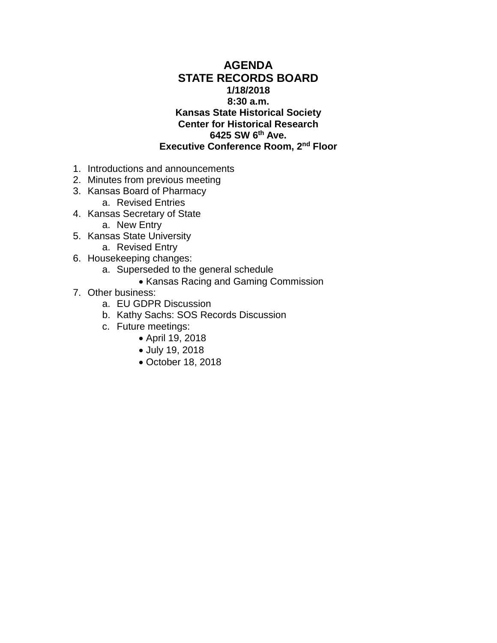## **AGENDA STATE RECORDS BOARD 1/18/2018 8:30 a.m. Kansas State Historical Society Center for Historical Research 6425 SW 6th Ave. Executive Conference Room, 2nd Floor**

- 1. Introductions and announcements
- 2. Minutes from previous meeting
- 3. Kansas Board of Pharmacy
	- a. Revised Entries
- 4. Kansas Secretary of State
	- a. New Entry
- 5. Kansas State University
	- a. Revised Entry
- 6. Housekeeping changes:
	- a. Superseded to the general schedule
		- Kansas Racing and Gaming Commission
- 7. Other business:
	- a. EU GDPR Discussion
	- b. Kathy Sachs: SOS Records Discussion
	- c. Future meetings:
		- April 19, 2018
		- July 19, 2018
		- October 18, 2018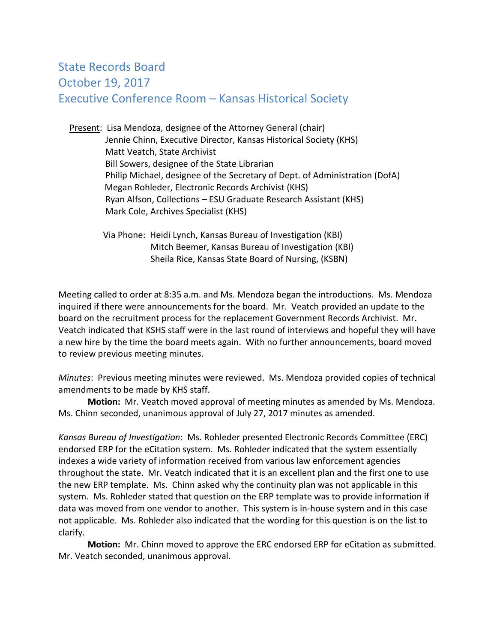# State Records Board October 19, 2017 Executive Conference Room – Kansas Historical Society

 Present: Lisa Mendoza, designee of the Attorney General (chair) Jennie Chinn, Executive Director, Kansas Historical Society (KHS) Matt Veatch, State Archivist Bill Sowers, designee of the State Librarian Philip Michael, designee of the Secretary of Dept. of Administration (DofA) Megan Rohleder, Electronic Records Archivist (KHS) Ryan Alfson, Collections – ESU Graduate Research Assistant (KHS) Mark Cole, Archives Specialist (KHS)

 Via Phone: Heidi Lynch, Kansas Bureau of Investigation (KBI) Mitch Beemer, Kansas Bureau of Investigation (KBI) Sheila Rice, Kansas State Board of Nursing, (KSBN)

Meeting called to order at 8:35 a.m. and Ms. Mendoza began the introductions. Ms. Mendoza inquired if there were announcements for the board. Mr. Veatch provided an update to the board on the recruitment process for the replacement Government Records Archivist. Mr. Veatch indicated that KSHS staff were in the last round of interviews and hopeful they will have a new hire by the time the board meets again. With no further announcements, board moved to review previous meeting minutes.

*Minutes*: Previous meeting minutes were reviewed. Ms. Mendoza provided copies of technical amendments to be made by KHS staff.

 **Motion:** Mr. Veatch moved approval of meeting minutes as amended by Ms. Mendoza. Ms. Chinn seconded, unanimous approval of July 27, 2017 minutes as amended.

*Kansas Bureau of Investigation*: Ms. Rohleder presented Electronic Records Committee (ERC) endorsed ERP for the eCitation system. Ms. Rohleder indicated that the system essentially indexes a wide variety of information received from various law enforcement agencies throughout the state. Mr. Veatch indicated that it is an excellent plan and the first one to use the new ERP template. Ms. Chinn asked why the continuity plan was not applicable in this system. Ms. Rohleder stated that question on the ERP template was to provide information if data was moved from one vendor to another. This system is in-house system and in this case not applicable. Ms. Rohleder also indicated that the wording for this question is on the list to clarify.

**Motion:** Mr. Chinn moved to approve the ERC endorsed ERP for eCitation as submitted. Mr. Veatch seconded, unanimous approval.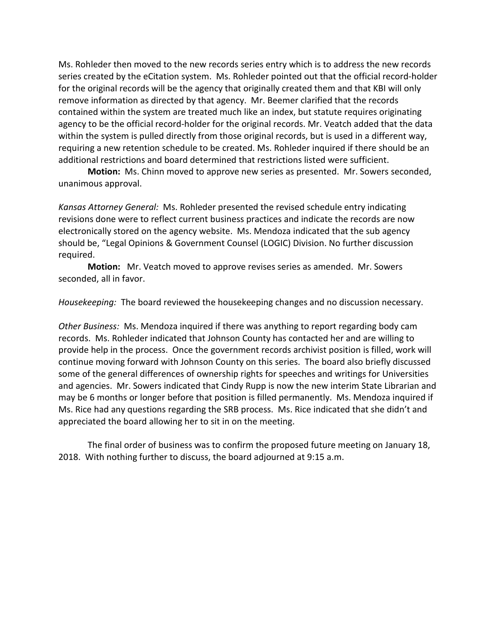Ms. Rohleder then moved to the new records series entry which is to address the new records series created by the eCitation system. Ms. Rohleder pointed out that the official record-holder for the original records will be the agency that originally created them and that KBI will only remove information as directed by that agency. Mr. Beemer clarified that the records contained within the system are treated much like an index, but statute requires originating agency to be the official record-holder for the original records. Mr. Veatch added that the data within the system is pulled directly from those original records, but is used in a different way, requiring a new retention schedule to be created. Ms. Rohleder inquired if there should be an additional restrictions and board determined that restrictions listed were sufficient.

**Motion:** Ms. Chinn moved to approve new series as presented. Mr. Sowers seconded, unanimous approval.

*Kansas Attorney General:* Ms. Rohleder presented the revised schedule entry indicating revisions done were to reflect current business practices and indicate the records are now electronically stored on the agency website. Ms. Mendoza indicated that the sub agency should be, "Legal Opinions & Government Counsel (LOGIC) Division. No further discussion required.

**Motion:** Mr. Veatch moved to approve revises series as amended. Mr. Sowers seconded, all in favor.

#### *Housekeeping:* The board reviewed the housekeeping changes and no discussion necessary.

*Other Business:* Ms. Mendoza inquired if there was anything to report regarding body cam records. Ms. Rohleder indicated that Johnson County has contacted her and are willing to provide help in the process. Once the government records archivist position is filled, work will continue moving forward with Johnson County on this series. The board also briefly discussed some of the general differences of ownership rights for speeches and writings for Universities and agencies. Mr. Sowers indicated that Cindy Rupp is now the new interim State Librarian and may be 6 months or longer before that position is filled permanently. Ms. Mendoza inquired if Ms. Rice had any questions regarding the SRB process. Ms. Rice indicated that she didn't and appreciated the board allowing her to sit in on the meeting.

The final order of business was to confirm the proposed future meeting on January 18, 2018. With nothing further to discuss, the board adjourned at 9:15 a.m.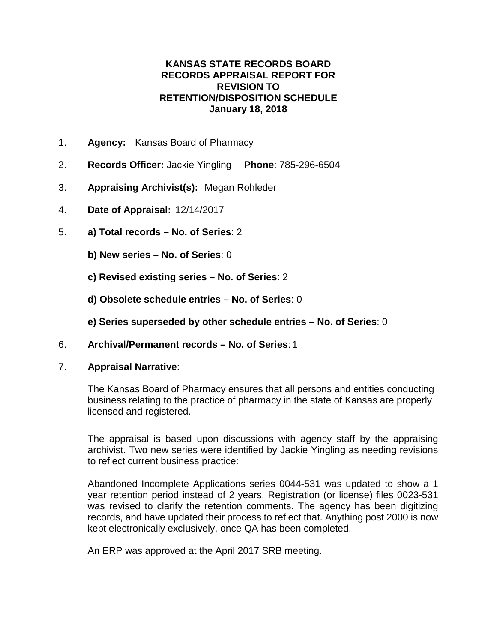### **KANSAS STATE RECORDS BOARD RECORDS APPRAISAL REPORT FOR REVISION TO RETENTION/DISPOSITION SCHEDULE January 18, 2018**

- 1. **Agency:** Kansas Board of Pharmacy
- 2. **Records Officer:** Jackie Yingling **Phone**: 785-296-6504
- 3. **Appraising Archivist(s):** Megan Rohleder
- 4. **Date of Appraisal:** 12/14/2017
- 5. **a) Total records – No. of Series**: 2
	- **b) New series – No. of Series**: 0
	- **c) Revised existing series – No. of Series**: 2
	- **d) Obsolete schedule entries – No. of Series**: 0
	- **e) Series superseded by other schedule entries – No. of Series**: 0
- 6. **Archival/Permanent records – No. of Series**: 1

### 7. **Appraisal Narrative**:

The Kansas Board of Pharmacy ensures that all persons and entities conducting business relating to the practice of pharmacy in the state of Kansas are properly licensed and registered.

The appraisal is based upon discussions with agency staff by the appraising archivist. Two new series were identified by Jackie Yingling as needing revisions to reflect current business practice:

Abandoned Incomplete Applications series 0044-531 was updated to show a 1 year retention period instead of 2 years. Registration (or license) files 0023-531 was revised to clarify the retention comments. The agency has been digitizing records, and have updated their process to reflect that. Anything post 2000 is now kept electronically exclusively, once QA has been completed.

An ERP was approved at the April 2017 SRB meeting.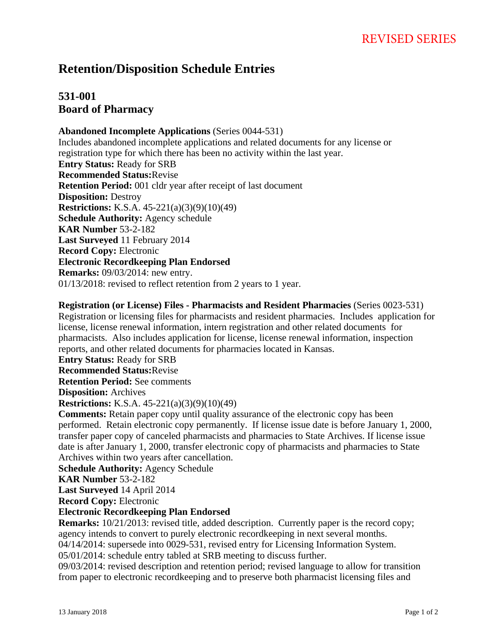# **Retention/Disposition Schedule Entries**

# **531-001 Board of Pharmacy**

### **Abandoned Incomplete Applications** (Series 0044-531)

Includes abandoned incomplete applications and related documents for any license or registration type for which there has been no activity within the last year. **Entry Status:** Ready for SRB **Recommended Status:**Revise **Retention Period:** 001 cldr year after receipt of last document **Disposition:** Destroy **Restrictions:** K.S.A. 45-221(a)(3)(9)(10)(49) **Schedule Authority:** Agency schedule **KAR Number** 53-2-182 **Last Surveyed** 11 February 2014 **Record Copy:** Electronic **Electronic Recordkeeping Plan Endorsed Remarks:** 09/03/2014: new entry. 01/13/2018: revised to reflect retention from 2 years to 1 year.

**Registration (or License) Files - Pharmacists and Resident Pharmacies** (Series 0023-531) Registration or licensing files for pharmacists and resident pharmacies. Includes application for license, license renewal information, intern registration and other related documents for pharmacists. Also includes application for license, license renewal information, inspection reports, and other related documents for pharmacies located in Kansas.

**Entry Status:** Ready for SRB

**Recommended Status:**Revise

**Retention Period:** See comments

**Disposition:** Archives

**Restrictions:** K.S.A. 45-221(a)(3)(9)(10)(49)

**Comments:** Retain paper copy until quality assurance of the electronic copy has been performed. Retain electronic copy permanently. If license issue date is before January 1, 2000, transfer paper copy of canceled pharmacists and pharmacies to State Archives. If license issue date is after January 1, 2000, transfer electronic copy of pharmacists and pharmacies to State Archives within two years after cancellation.

**Schedule Authority:** Agency Schedule

**KAR Number** 53-2-182

**Last Surveyed** 14 April 2014

**Record Copy:** Electronic

### **Electronic Recordkeeping Plan Endorsed**

**Remarks:**  $10/21/2013$ : revised title, added description. Currently paper is the record copy; agency intends to convert to purely electronic recordkeeping in next several months. 04/14/2014: supersede into 0029-531, revised entry for Licensing Information System.

05/01/2014: schedule entry tabled at SRB meeting to discuss further.

09/03/2014: revised description and retention period; revised language to allow for transition from paper to electronic recordkeeping and to preserve both pharmacist licensing files and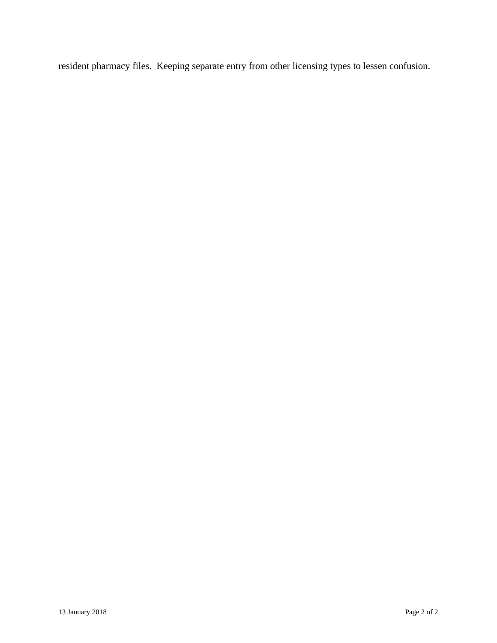resident pharmacy files. Keeping separate entry from other licensing types to lessen confusion.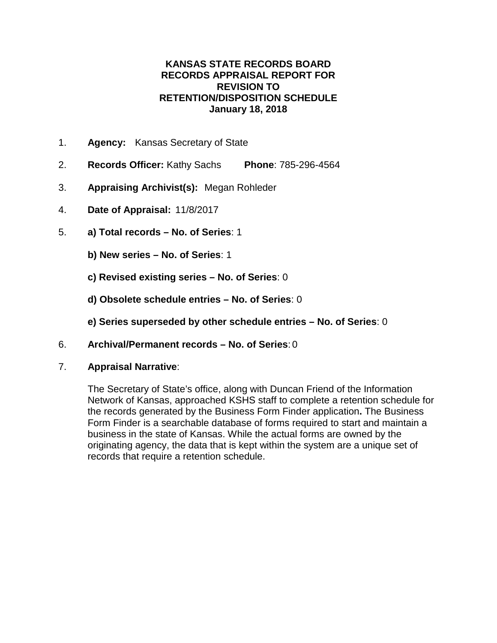### **KANSAS STATE RECORDS BOARD RECORDS APPRAISAL REPORT FOR REVISION TO RETENTION/DISPOSITION SCHEDULE January 18, 2018**

- 1. **Agency:** Kansas Secretary of State
- 2. **Records Officer:** Kathy Sachs **Phone**: 785-296-4564
- 3. **Appraising Archivist(s):** Megan Rohleder
- 4. **Date of Appraisal:** 11/8/2017
- 5. **a) Total records – No. of Series**: 1
	- **b) New series – No. of Series**: 1
	- **c) Revised existing series – No. of Series**: 0
	- **d) Obsolete schedule entries – No. of Series**: 0
	- **e) Series superseded by other schedule entries – No. of Series**: 0
- 6. **Archival/Permanent records – No. of Series**: 0
- 7. **Appraisal Narrative**:

The Secretary of State's office, along with Duncan Friend of the Information Network of Kansas, approached KSHS staff to complete a retention schedule for the records generated by the Business Form Finder application**.** The Business Form Finder is a searchable database of forms required to start and maintain a business in the state of Kansas. While the actual forms are owned by the originating agency, the data that is kept within the system are a unique set of records that require a retention schedule.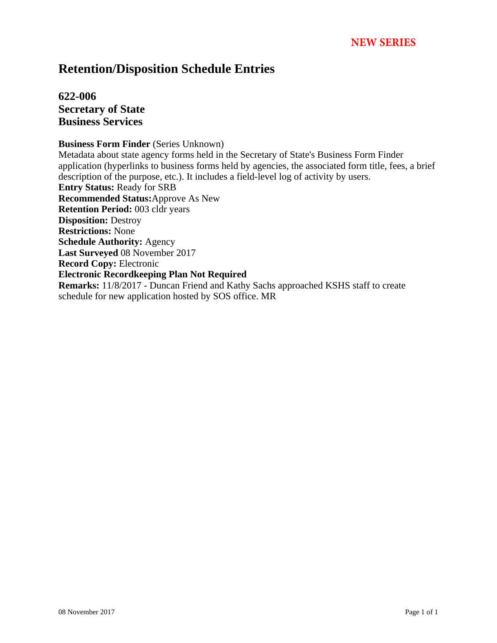# **Retention/Disposition Schedule Entries**

# **622-006 Secretary of State Business Services**

### **Business Form Finder** (Series Unknown)

Metadata about state agency forms held in the Secretary of State's Business Form Finder application (hyperlinks to business forms held by agencies, the associated form title, fees, a brief description of the purpose, etc.). It includes a field-level log of activity by users. **Entry Status:** Ready for SRB **Recommended Status:**Approve As New **Retention Period:** 003 cldr years **Disposition:** Destroy **Restrictions:** None **Schedule Authority:** Agency **Last Surveyed** 08 November 2017 **Record Copy:** Electronic **Electronic Recordkeeping Plan Not Required Remarks:** 11/8/2017 - Duncan Friend and Kathy Sachs approached KSHS staff to create schedule for new application hosted by SOS office. MR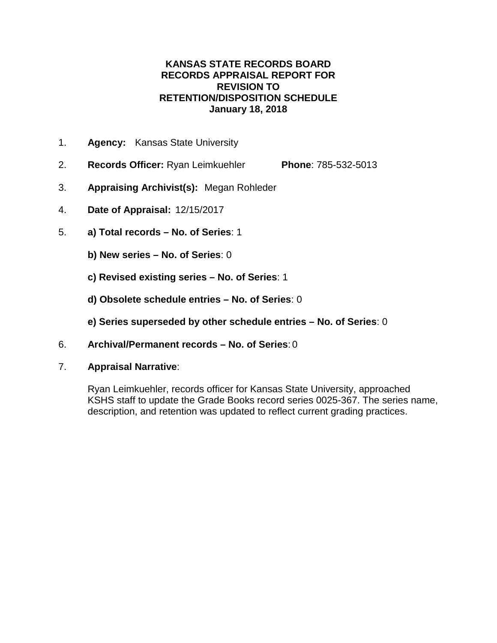### **KANSAS STATE RECORDS BOARD RECORDS APPRAISAL REPORT FOR REVISION TO RETENTION/DISPOSITION SCHEDULE January 18, 2018**

- 1. **Agency:** Kansas State University
- 2. **Records Officer:** Ryan Leimkuehler **Phone**: 785-532-5013
- 3. **Appraising Archivist(s):** Megan Rohleder
- 4. **Date of Appraisal:** 12/15/2017
- 5. **a) Total records – No. of Series**: 1
	- **b) New series – No. of Series**: 0
	- **c) Revised existing series – No. of Series**: 1
	- **d) Obsolete schedule entries – No. of Series**: 0
	- **e) Series superseded by other schedule entries – No. of Series**: 0
- 6. **Archival/Permanent records – No. of Series**: 0
- 7. **Appraisal Narrative**:

Ryan Leimkuehler, records officer for Kansas State University, approached KSHS staff to update the Grade Books record series 0025-367. The series name, description, and retention was updated to reflect current grading practices.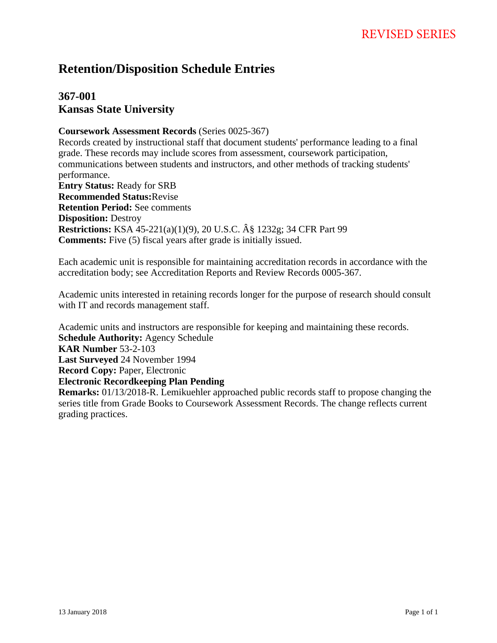# **Retention/Disposition Schedule Entries**

# **367-001 Kansas State University**

### **Coursework Assessment Records** (Series 0025-367)

Records created by instructional staff that document students' performance leading to a final grade. These records may include scores from assessment, coursework participation, communications between students and instructors, and other methods of tracking students' performance. **Entry Status:** Ready for SRB

**Recommended Status:**Revise **Retention Period:** See comments **Disposition:** Destroy **Restrictions:** KSA 45-221(a)(1)(9), 20 U.S.C. § 1232g; 34 CFR Part 99 **Comments:** Five (5) fiscal years after grade is initially issued.

Each academic unit is responsible for maintaining accreditation records in accordance with the accreditation body; see Accreditation Reports and Review Records 0005-367.

Academic units interested in retaining records longer for the purpose of research should consult with IT and records management staff.

Academic units and instructors are responsible for keeping and maintaining these records. **Schedule Authority:** Agency Schedule **KAR Number** 53-2-103 **Last Surveyed** 24 November 1994 **Record Copy:** Paper, Electronic **Electronic Recordkeeping Plan Pending Remarks:** 01/13/2018-R. Lemikuehler approached public records staff to propose changing the

series title from Grade Books to Coursework Assessment Records. The change reflects current grading practices.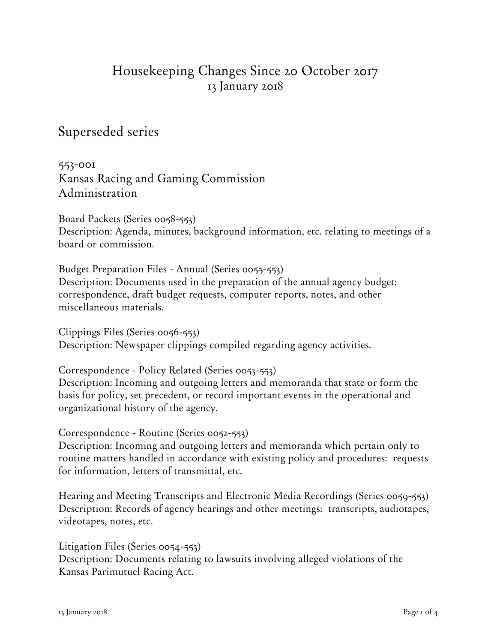# Housekeeping Changes Since 20 October 2017 13 January 2018

# Superseded series

553-001 Kansas Racing and Gaming Commission Administration

Board Packets (Series 0058-553) Description: Agenda, minutes, background information, etc. relating to meetings of a board or commission.

Budget Preparation Files - Annual (Series 0055-553) Description: Documents used in the preparation of the annual agency budget: correspondence, draft budget requests, computer reports, notes, and other miscellaneous materials.

Clippings Files (Series 0056-553) Description: Newspaper clippings compiled regarding agency activities.

Correspondence - Policy Related (Series 0053-553) Description: Incoming and outgoing letters and memoranda that state or form the basis for policy, set precedent, or record important events in the operational and organizational history of the agency.

## Correspondence - Routine (Series 0052-553)

Description: Incoming and outgoing letters and memoranda which pertain only to routine matters handled in accordance with existing policy and procedures: requests for information, letters of transmittal, etc.

Hearing and Meeting Transcripts and Electronic Media Recordings (Series 0059-553) Description: Records of agency hearings and other meetings: transcripts, audiotapes, videotapes, notes, etc.

Litigation Files (Series 0054-553)

Description: Documents relating to lawsuits involving alleged violations of the Kansas Parimutuel Racing Act.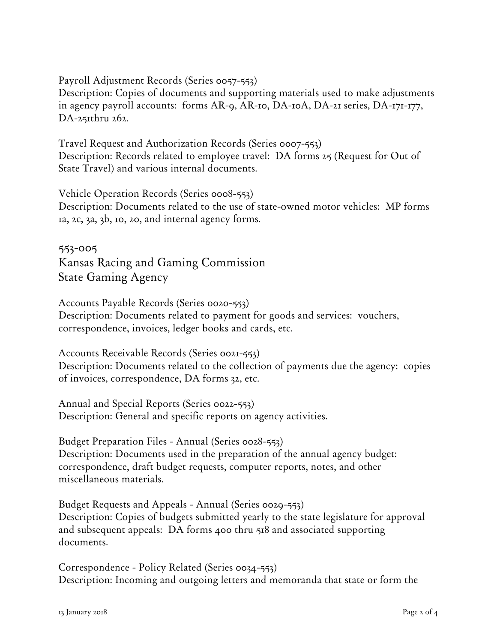Payroll Adjustment Records (Series 0057-553)

Description: Copies of documents and supporting materials used to make adjustments in agency payroll accounts: forms AR-9, AR-10, DA-10A, DA-21 series, DA-171-177, DA-251thru 262.

Travel Request and Authorization Records (Series 0007-553) Description: Records related to employee travel: DA forms 25 (Request for Out of State Travel) and various internal documents.

Vehicle Operation Records (Series 0008-553) Description: Documents related to the use of state-owned motor vehicles: MP forms 1a, 2c, 3a, 3b, 10, 20, and internal agency forms.

553-005 Kansas Racing and Gaming Commission State Gaming Agency

Accounts Payable Records (Series 0020-553) Description: Documents related to payment for goods and services: vouchers, correspondence, invoices, ledger books and cards, etc.

Accounts Receivable Records (Series 0021-553) Description: Documents related to the collection of payments due the agency: copies of invoices, correspondence, DA forms 32, etc.

Annual and Special Reports (Series 0022-553) Description: General and specific reports on agency activities.

Budget Preparation Files - Annual (Series 0028-553) Description: Documents used in the preparation of the annual agency budget: correspondence, draft budget requests, computer reports, notes, and other miscellaneous materials.

Budget Requests and Appeals - Annual (Series 0029-553) Description: Copies of budgets submitted yearly to the state legislature for approval and subsequent appeals: DA forms 400 thru 518 and associated supporting documents.

Correspondence - Policy Related (Series 0034-553) Description: Incoming and outgoing letters and memoranda that state or form the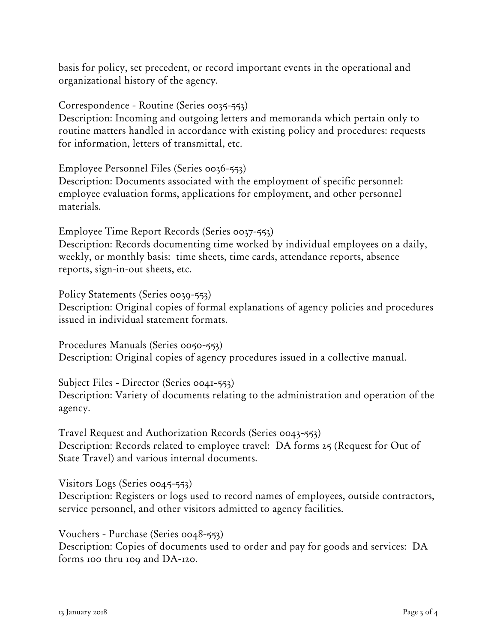basis for policy, set precedent, or record important events in the operational and organizational history of the agency.

Correspondence - Routine (Series 0035-553)

Description: Incoming and outgoing letters and memoranda which pertain only to routine matters handled in accordance with existing policy and procedures: requests for information, letters of transmittal, etc.

Employee Personnel Files (Series 0036-553)

Description: Documents associated with the employment of specific personnel: employee evaluation forms, applications for employment, and other personnel materials.

Employee Time Report Records (Series 0037-553)

Description: Records documenting time worked by individual employees on a daily, weekly, or monthly basis: time sheets, time cards, attendance reports, absence reports, sign-in-out sheets, etc.

Policy Statements (Series 0039-553) Description: Original copies of formal explanations of agency policies and procedures issued in individual statement formats.

Procedures Manuals (Series 0050-553) Description: Original copies of agency procedures issued in a collective manual.

Subject Files - Director (Series 0041-553)

Description: Variety of documents relating to the administration and operation of the agency.

Travel Request and Authorization Records (Series 0043-553) Description: Records related to employee travel: DA forms 25 (Request for Out of State Travel) and various internal documents.

Visitors Logs (Series 0045-553)

Description: Registers or logs used to record names of employees, outside contractors, service personnel, and other visitors admitted to agency facilities.

Vouchers - Purchase (Series 0048-553)

Description: Copies of documents used to order and pay for goods and services: DA forms 100 thru 109 and DA-120.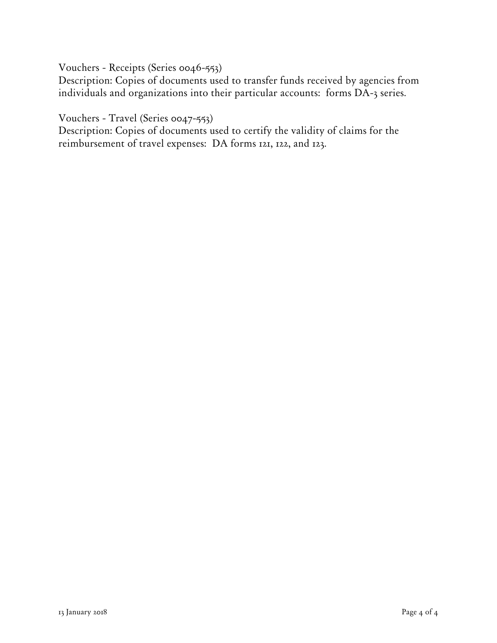Vouchers - Receipts (Series 0046-553)

Description: Copies of documents used to transfer funds received by agencies from individuals and organizations into their particular accounts: forms DA-3 series.

Vouchers - Travel (Series 0047-553)

Description: Copies of documents used to certify the validity of claims for the reimbursement of travel expenses: DA forms 121, 122, and 123.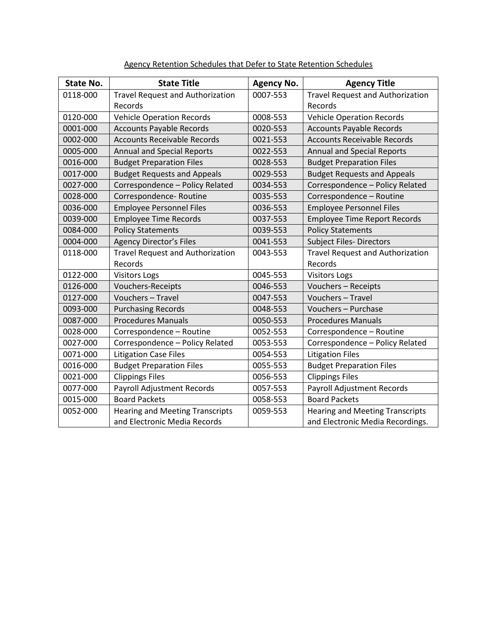| <b>State No.</b> | <b>State Title</b>                      | <b>Agency No.</b> | <b>Agency Title</b>                     |
|------------------|-----------------------------------------|-------------------|-----------------------------------------|
| 0118-000         | <b>Travel Request and Authorization</b> | 0007-553          | <b>Travel Request and Authorization</b> |
|                  | Records                                 |                   | Records                                 |
| 0120-000         | <b>Vehicle Operation Records</b>        | 0008-553          | <b>Vehicle Operation Records</b>        |
| 0001-000         | <b>Accounts Payable Records</b>         | 0020-553          | <b>Accounts Payable Records</b>         |
| 0002-000         | <b>Accounts Receivable Records</b>      | 0021-553          | <b>Accounts Receivable Records</b>      |
| 0005-000         | <b>Annual and Special Reports</b>       | 0022-553          | <b>Annual and Special Reports</b>       |
| 0016-000         | <b>Budget Preparation Files</b>         | 0028-553          | <b>Budget Preparation Files</b>         |
| 0017-000         | <b>Budget Requests and Appeals</b>      | 0029-553          | <b>Budget Requests and Appeals</b>      |
| 0027-000         | Correspondence - Policy Related         | 0034-553          | Correspondence - Policy Related         |
| 0028-000         | Correspondence-Routine                  | 0035-553          | Correspondence - Routine                |
| 0036-000         | <b>Employee Personnel Files</b>         | 0036-553          | <b>Employee Personnel Files</b>         |
| 0039-000         | <b>Employee Time Records</b>            | 0037-553          | <b>Employee Time Report Records</b>     |
| 0084-000         | <b>Policy Statements</b>                | 0039-553          | <b>Policy Statements</b>                |
| 0004-000         | <b>Agency Director's Files</b>          | 0041-553          | <b>Subject Files- Directors</b>         |
| 0118-000         | <b>Travel Request and Authorization</b> | 0043-553          | <b>Travel Request and Authorization</b> |
|                  | Records                                 |                   | Records                                 |
| 0122-000         | <b>Visitors Logs</b>                    | 0045-553          | <b>Visitors Logs</b>                    |
| 0126-000         | Vouchers-Receipts                       | 0046-553          | Vouchers - Receipts                     |
| 0127-000         | Vouchers - Travel                       | 0047-553          | Vouchers - Travel                       |
| 0093-000         | <b>Purchasing Records</b>               | 0048-553          | Vouchers - Purchase                     |
| 0087-000         | <b>Procedures Manuals</b>               | 0050-553          | <b>Procedures Manuals</b>               |
| 0028-000         | Correspondence - Routine                | 0052-553          | Correspondence - Routine                |
| 0027-000         | Correspondence - Policy Related         | 0053-553          | Correspondence - Policy Related         |
| 0071-000         | <b>Litigation Case Files</b>            | 0054-553          | <b>Litigation Files</b>                 |
| 0016-000         | <b>Budget Preparation Files</b>         | 0055-553          | <b>Budget Preparation Files</b>         |
| 0021-000         | <b>Clippings Files</b>                  | 0056-553          | <b>Clippings Files</b>                  |
| 0077-000         | <b>Payroll Adjustment Records</b>       | 0057-553          | Payroll Adjustment Records              |
| 0015-000         | <b>Board Packets</b>                    | 0058-553          | <b>Board Packets</b>                    |
| 0052-000         | <b>Hearing and Meeting Transcripts</b>  | 0059-553          | <b>Hearing and Meeting Transcripts</b>  |
|                  | and Electronic Media Records            |                   | and Electronic Media Recordings.        |

| Agency Retention Schedules that Defer to State Retention Schedules |
|--------------------------------------------------------------------|
|--------------------------------------------------------------------|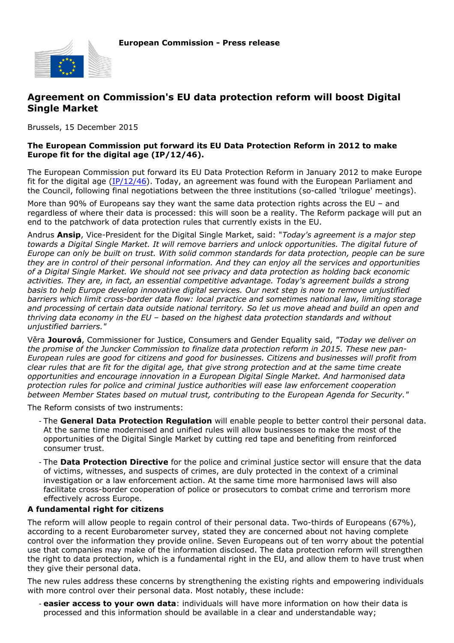

## **Agreement on Commission's EU data protection reform will boost Digital Single Market**

Brussels, 15 December 2015

### **The European Commission put forward its EU Data Protection Reform in 2012 to make Europe fit for the digital age (IP/12/46).**

The European Commission put forward its EU Data Protection Reform in January 2012 to make Europe fit for the digital age ( $IP/12/46$ ). Today, an agreement was found with the European Parliament and the Council, following final negotiations between the three institutions (so-called 'trilogue' meetings).

More than 90% of Europeans say they want the same data protection rights across the EU – and regardless of where their data is processed: this will soon be a reality. The Reform package will put an end to the patchwork of data protection rules that currently exists in the EU.

Andrus **Ansip**, Vice-President for the Digital Single Market, said: "*Today's agreement is a major step towards a Digital Single Market. It will remove barriers and unlock opportunities. The digital future of Europe can only be built on trust. With solid common standards for data protection, people can be sure they are in control of their personal information. And they can enjoy all the services and opportunities of a Digital Single Market. We should not see privacy and data protection as holding back economic activities. They are, in fact, an essential competitive advantage. Today's agreement builds a strong basis to help Europe develop innovative digital services. Our next step is now to remove unjustified barriers which limit cross-border data flow: local practice and sometimes national law, limiting storage and processing of certain data outside national territory. So let us move ahead and build an open and thriving data economy in the EU – based on the highest data protection standards and without unjustified barriers."*

Věra **Jourová**, Commissioner for Justice, Consumers and Gender Equality said, *"Today we deliver on the promise of the Juncker Commission to finalize data protection reform in 2015. These new pan-European rules are good for citizens and good for businesses. Citizens and businesses will profit from clear rules that are fit for the digital age, that give strong protection and at the same time create opportunities and encourage innovation in a European Digital Single Market. And harmonised data protection rules for police and criminal justice authorities will ease law enforcement cooperation between Member States based on mutual trust, contributing to the European Agenda for Security."*

The Reform consists of two instruments:

- The General Data Protection Regulation will enable people to better control their personal data. At the same time modernised and unified rules will allow businesses to make the most of the opportunities of the Digital Single Market by cutting red tape and benefiting from reinforced consumer trust.
- The Data Protection Directive for the police and criminal justice sector will ensure that the data of victims, witnesses, and suspects of crimes, are duly protected in the context of a criminal investigation or a law enforcement action. At the same time more harmonised laws will also facilitate cross-border cooperation of police or prosecutors to combat crime and terrorism more effectively across Europe.

#### **A fundamental right for citizens**

The reform will allow people to regain control of their personal data. Two-thirds of Europeans (67%), according to a recent Eurobarometer survey, stated they are concerned about not having complete control over the information they provide online. Seven Europeans out of ten worry about the potential use that companies may make of the information disclosed. The data protection reform will strengthen the right to data protection, which is a fundamental right in the EU, and allow them to have trust when they give their personal data.

The new rules address these concerns by strengthening the existing rights and empowering individuals with more control over their personal data. Most notably, these include:

**easier access to your own data**: individuals will have more information on how their data is processed and this information should be available in a clear and understandable way;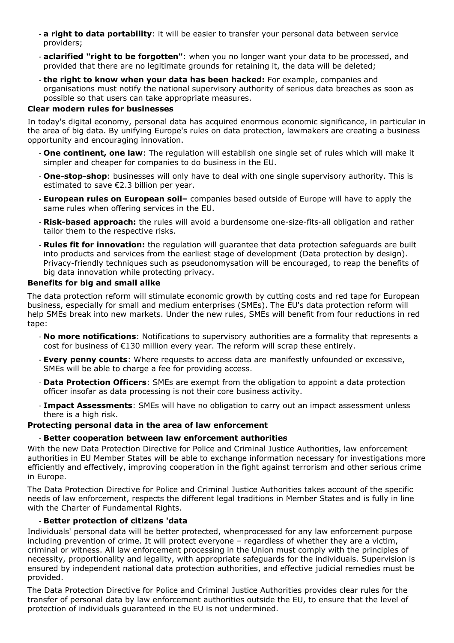- **a right to data portability**: it will be easier to transfer your personal data between service providers;
- **aclarified "right to be forgotten"**: when you no longer want your data to be processed, and provided that there are no legitimate grounds for retaining it, the data will be deleted;
- **the right to know when your data has been hacked:** For example, companies and organisations must notify the national supervisory authority of serious data breaches as soon as possible so that users can take appropriate measures.

### **Clear modern rules for businesses**

In today's digital economy, personal data has acquired enormous economic significance, in particular in the area of big data. By unifying Europe's rules on data protection, lawmakers are creating a business opportunity and encouraging innovation.

- **One continent, one law**: The regulation will establish one single set of rules which will make it simpler and cheaper for companies to do business in the EU.
- **One-stop-shop**: businesses will only have to deal with one single supervisory authority. This is estimated to save €2.3 billion per year.
- **European rules on European soil–** companies based outside of Europe will have to apply the same rules when offering services in the EU.
- **Risk-based approach:** the rules will avoid a burdensome one-size-fits-all obligation and rather tailor them to the respective risks.
- **Rules fit for innovation:** the regulation will guarantee that data protection safeguards are built into products and services from the earliest stage of development (Data protection by design). Privacy-friendly techniques such as pseudonomysation will be encouraged, to reap the benefits of big data innovation while protecting privacy.

### **Benefits for big and small alike**

The data protection reform will stimulate economic growth by cutting costs and red tape for European business, especially for small and medium enterprises (SMEs). The EU's data protection reform will help SMEs break into new markets. Under the new rules, SMEs will benefit from four reductions in red tape:

- **No more notifications**: Notifications to supervisory authorities are a formality that represents a cost for business of €130 million every year. The reform will scrap these entirely.
- **Every penny counts**: Where requests to access data are manifestly unfounded or excessive, SMEs will be able to charge a fee for providing access.
- **Data Protection Officers**: SMEs are exempt from the obligation to appoint a data protection officer insofar as data processing is not their core business activity.
- **Impact Assessments**: SMEs will have no obligation to carry out an impact assessment unless there is a high risk.

#### **Protecting personal data in the area of law enforcement**

### - **Better cooperation between law enforcement authorities**

With the new Data Protection Directive for Police and Criminal Justice Authorities, law enforcement authorities in EU Member States will be able to exchange information necessary for investigations more efficiently and effectively, improving cooperation in the fight against terrorism and other serious crime in Europe.

The Data Protection Directive for Police and Criminal Justice Authorities takes account of the specific needs of law enforcement, respects the different legal traditions in Member States and is fully in line with the Charter of Fundamental Rights.

### - **Better protection of citizens 'data**

Individuals' personal data will be better protected, whenprocessed for any law enforcement purpose including prevention of crime. It will protect everyone – regardless of whether they are a victim, criminal or witness. All law enforcement processing in the Union must comply with the principles of necessity, proportionality and legality, with appropriate safeguards for the individuals. Supervision is ensured by independent national data protection authorities, and effective judicial remedies must be provided.

The Data Protection Directive for Police and Criminal Justice Authorities provides clear rules for the transfer of personal data by law enforcement authorities outside the EU, to ensure that the level of protection of individuals guaranteed in the EU is not undermined.